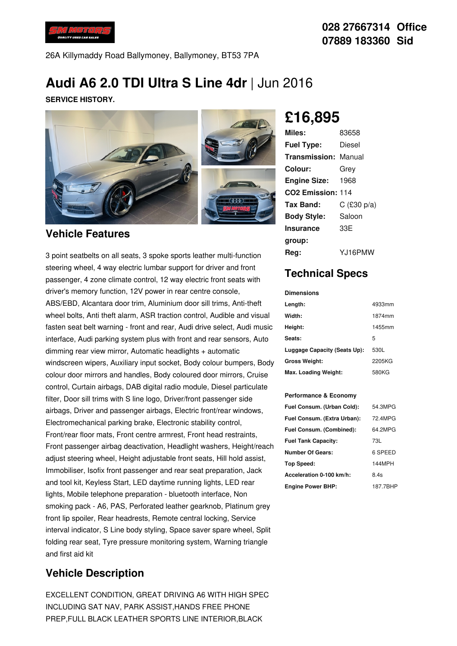

26A Killymaddy Road Ballymoney, Ballymoney, BT53 7PA

# **Audi A6 2.0 TDI Ultra S Line 4dr** |Jun 2016

**SERVICE HISTORY.**



#### **Vehicle Features**

3 point seatbelts on all seats, 3 spoke sports leather multi-function steering wheel, 4 way electric lumbar support for driver and front passenger, 4 zone climate control, 12 way electric front seats with driver's memory function, 12V power in rear centre console, ABS/EBD, Alcantara door trim, Aluminium door sill trims, Anti-theft wheel bolts, Anti theft alarm, ASR traction control, Audible and visual fasten seat belt warning - front and rear, Audi drive select, Audi music interface, Audi parking system plus with front and rear sensors, Auto dimming rear view mirror, Automatic headlights + automatic windscreen wipers, Auxiliary input socket, Body colour bumpers, Body colour door mirrors and handles, Body coloured door mirrors, Cruise control, Curtain airbags, DAB digital radio module, Diesel particulate filter, Door sill trims with S line logo, Driver/front passenger side airbags, Driver and passenger airbags, Electric front/rear windows, Electromechanical parking brake, Electronic stability control, Front/rear floor mats, Front centre armrest, Front head restraints, Front passenger airbag deactivation, Headlight washers, Height/reach adjust steering wheel, Height adjustable front seats, Hill hold assist, Immobiliser, Isofix front passenger and rear seat preparation, Jack and tool kit, Keyless Start, LED daytime running lights, LED rear lights, Mobile telephone preparation - bluetooth interface, Non smoking pack - A6, PAS, Perforated leather gearknob, Platinum grey front lip spoiler, Rear headrests, Remote central locking, Service interval indicator, S Line body styling, Space saver spare wheel, Split folding rear seat, Tyre pressure monitoring system, Warning triangle and first aid kit

### **Vehicle Description**

EXCELLENT CONDITION, GREAT DRIVING A6 WITH HIGH SPEC INCLUDING SAT NAV, PARK ASSIST,HANDS FREE PHONE PREP,FULL BLACK LEATHER SPORTS LINE INTERIOR,BLACK

**£16,895**

| Miles:                      | 83658         |
|-----------------------------|---------------|
| <b>Fuel Type:</b>           | Diesel        |
| <b>Transmission: Manual</b> |               |
| Colour:                     | Grev          |
| <b>Engine Size:</b>         | 1968          |
| CO2 Emission: 114           |               |
| Tax Band:                   | $C$ (£30 p/a) |
| <b>Body Style:</b>          | Saloon        |
| <b>Insurance</b>            | 33E           |
| group:                      |               |
| Rea:                        | Y.J16PMW      |

## **Technical Specs**

**Dimensions**

| Length:                      | 4933mm |
|------------------------------|--------|
| Width:                       | 1874mm |
| Height:                      | 1455mm |
| Seats:                       | 5      |
| Luggage Capacity (Seats Up): | 530L   |
| <b>Gross Weight:</b>         | 2205KG |
| Max. Loading Weight:         | 580KG  |

#### **Performance & Economy**

| Fuel Consum. (Urban Cold):  | 54.3MPG  |
|-----------------------------|----------|
| Fuel Consum. (Extra Urban): | 72.4MPG  |
| Fuel Consum. (Combined):    | 64.2MPG  |
| <b>Fuel Tank Capacity:</b>  | 73L      |
| <b>Number Of Gears:</b>     | 6 SPEED  |
| Top Speed:                  | 144MPH   |
| Acceleration 0-100 km/h:    | 8.4s     |
| <b>Engine Power BHP:</b>    | 187.7BHP |